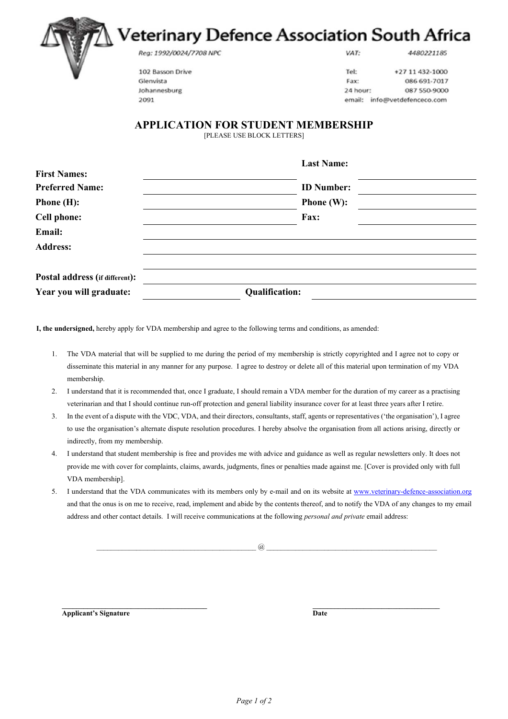## Veterinary Defence Association South Africa

Reg: 1992/0024/7708 NPC

VAT:

4480221185

102 Basson Drive Glenvista Johannesburg 2091

Tel: +27 11 432-1000 Fax: 086 691-7017 24 hour: 087 550-9000 email: info@vetdefenceco.com

## **APPLICATION FOR STUDENT MEMBERSHIP**

[PLEASE USE BLOCK LETTERS]

|                                | <b>Last Name:</b>     |  |
|--------------------------------|-----------------------|--|
| <b>First Names:</b>            |                       |  |
| <b>Preferred Name:</b>         | <b>ID</b> Number:     |  |
| <b>Phone</b> $(H)$ :           | <b>Phone</b> $(W)$ :  |  |
| <b>Cell phone:</b>             | Fax:                  |  |
| Email:                         |                       |  |
| <b>Address:</b>                |                       |  |
|                                |                       |  |
| Postal address (if different): |                       |  |
| Year you will graduate:        | <b>Qualification:</b> |  |

**I, the undersigned,** hereby apply for VDA membership and agree to the following terms and conditions, as amended:

- 1. The VDA material that will be supplied to me during the period of my membership is strictly copyrighted and I agree not to copy or disseminate this material in any manner for any purpose. I agree to destroy or delete all of this material upon termination of my VDA membership.
- 2. I understand that it is recommended that, once I graduate, I should remain a VDA member for the duration of my career as a practising veterinarian and that I should continue run-off protection and general liability insurance cover for at least three years after I retire.
- 3. In the event of a dispute with the VDC, VDA, and their directors, consultants, staff, agents or representatives ('the organisation'), I agree to use the organisation's alternate dispute resolution procedures. I hereby absolve the organisation from all actions arising, directly or indirectly, from my membership.
- 4. I understand that student membership is free and provides me with advice and guidance as well as regular newsletters only. It does not provide me with cover for complaints, claims, awards, judgments, fines or penalties made against me. [Cover is provided only with full VDA membership].
- 5. I understand that the VDA communicates with its members only by e-mail and on its website at www.veterinary-defence-association.org and that the onus is on me to receive, read, implement and abide by the contents thereof, and to notify the VDA of any changes to my email address and other contact details. I will receive communications at the following *personal and private* email address:

 $a$ 

**\_\_\_\_\_\_\_\_\_\_\_\_\_\_\_\_\_\_\_\_\_\_\_\_\_\_\_\_\_\_\_\_\_\_\_\_\_\_\_\_ \_\_\_\_\_\_\_\_\_\_\_\_\_\_\_\_\_\_\_\_\_\_\_\_\_\_\_\_\_\_\_\_\_\_\_ Applicant's Signature Date 2008 Contract 2008 Contract 2008 Contract 2008 Date**